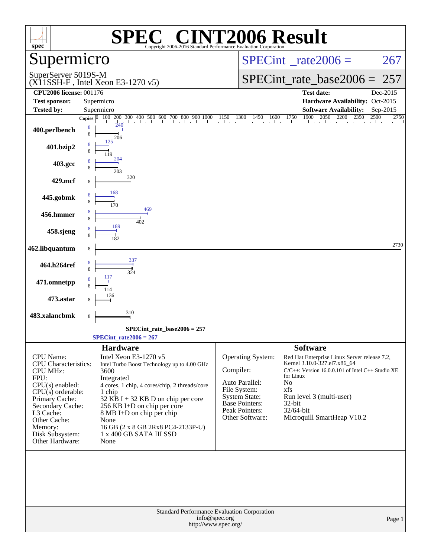| $spec^*$                                       | $\lceil$ ' $\mathbb{R}$ $\lceil$ ' $\rceil$<br>SPEO<br>Copyright 2006-2016 Standard Performance Evaluation Corporation                                                                       | <b>INT2006 Result</b>                                                        |                                                       |
|------------------------------------------------|----------------------------------------------------------------------------------------------------------------------------------------------------------------------------------------------|------------------------------------------------------------------------------|-------------------------------------------------------|
| Supermicro                                     |                                                                                                                                                                                              | $SPECint^{\circ}$ <sub>_rate2006</sub> =                                     | 267                                                   |
| SuperServer 5019S-M                            | $(X11SSH-F$ , Intel Xeon E3-1270 v5)                                                                                                                                                         | $SPECint_rate_base2006 = 257$                                                |                                                       |
| <b>CPU2006 license: 001176</b>                 |                                                                                                                                                                                              | Test date:                                                                   | Dec-2015                                              |
| <b>Test sponsor:</b>                           | Supermicro                                                                                                                                                                                   |                                                                              | Hardware Availability: Oct-2015                       |
| <b>Tested by:</b>                              | Supermicro                                                                                                                                                                                   |                                                                              | <b>Software Availability:</b><br>Sep-2015<br>2750     |
| 400.perlbench                                  | Copies $\begin{bmatrix} 0 & 100 & 200 & 300 & 400 & 500 & 600 & 700 & 800 & 900 & 1000 & 1150 & 1300 & 1450 & 1600 & 1750 & 1900 & 2050 & 2200 & 2350 & 2500 \end{bmatrix}$<br>8<br>8<br>206 |                                                                              |                                                       |
| 401.bzip2                                      | 125                                                                                                                                                                                          |                                                                              |                                                       |
| 403.gcc                                        | 204<br>203                                                                                                                                                                                   |                                                                              |                                                       |
| 429.mcf                                        | 320                                                                                                                                                                                          |                                                                              |                                                       |
| 445.gobmk                                      | 168<br>170                                                                                                                                                                                   |                                                                              |                                                       |
| 456.hmmer                                      | 469<br>402<br>189                                                                                                                                                                            |                                                                              |                                                       |
| 458.sjeng                                      | 182                                                                                                                                                                                          |                                                                              |                                                       |
| 462.libquantum                                 | 8                                                                                                                                                                                            |                                                                              | 2730                                                  |
| 464.h264ref                                    | 337<br>324                                                                                                                                                                                   |                                                                              |                                                       |
| 471.omnetpp                                    |                                                                                                                                                                                              |                                                                              |                                                       |
| 473.astar                                      | 310                                                                                                                                                                                          |                                                                              |                                                       |
| 483.xalancbmk                                  | 8                                                                                                                                                                                            |                                                                              |                                                       |
|                                                | SPECint_rate_base2006 = 257<br>$SPECint_rate2006 = 267$                                                                                                                                      |                                                                              |                                                       |
|                                                | <b>Hardware</b>                                                                                                                                                                              | <b>Software</b>                                                              |                                                       |
| <b>CPU</b> Name:                               | Intel Xeon E3-1270 v5                                                                                                                                                                        | Operating System:                                                            | Red Hat Enterprise Linux Server release 7.2,          |
| <b>CPU</b> Characteristics:<br><b>CPU MHz:</b> | Intel Turbo Boost Technology up to 4.00 GHz<br>3600                                                                                                                                          | Kernel 3.10.0-327.el7.x86_64<br>Compiler:                                    | $C/C++$ : Version 16.0.0.101 of Intel $C++$ Studio XE |
| FPU:                                           | Integrated                                                                                                                                                                                   | for Linux<br>Auto Parallel:<br>No                                            |                                                       |
| CPU(s) enabled:                                | 4 cores, 1 chip, 4 cores/chip, 2 threads/core                                                                                                                                                | File System:<br>xfs                                                          |                                                       |
| $CPU(s)$ orderable:<br>Primary Cache:          | 1 chip<br>$32$ KB I + 32 KB D on chip per core                                                                                                                                               | <b>System State:</b><br>Run level 3 (multi-user)                             |                                                       |
| Secondary Cache:                               | 256 KB I+D on chip per core                                                                                                                                                                  | <b>Base Pointers:</b><br>32-bit                                              |                                                       |
| L3 Cache:                                      | 8 MB I+D on chip per chip                                                                                                                                                                    | Peak Pointers:<br>32/64-bit<br>Microquill SmartHeap V10.2<br>Other Software: |                                                       |
| Other Cache:<br>Memory:                        | None<br>16 GB (2 x 8 GB 2Rx8 PC4-2133P-U)                                                                                                                                                    |                                                                              |                                                       |
| Disk Subsystem:<br>Other Hardware:             | 1 x 400 GB SATA III SSD<br>None                                                                                                                                                              |                                                                              |                                                       |
|                                                |                                                                                                                                                                                              |                                                                              |                                                       |
|                                                | Standard Performance Evaluation Corporation<br>info@spec.org<br>http://www.spec.org/                                                                                                         |                                                                              | Page 1                                                |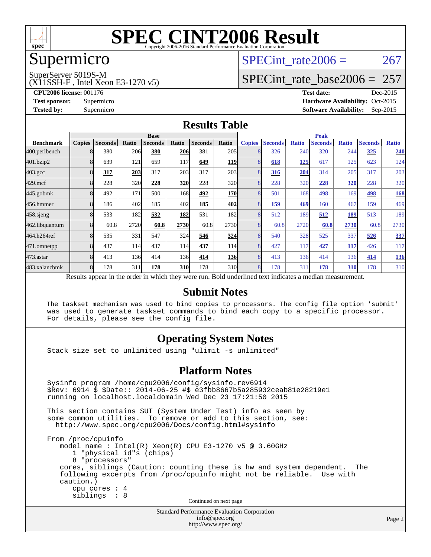

## Supermicro

#### SuperServer 5019S-M

(X11SSH-F , Intel Xeon E3-1270 v5)

SPECint rate $2006 = 267$ 

### [SPECint\\_rate\\_base2006 =](http://www.spec.org/auto/cpu2006/Docs/result-fields.html#SPECintratebase2006) 257

**[CPU2006 license:](http://www.spec.org/auto/cpu2006/Docs/result-fields.html#CPU2006license)** 001176 **[Test date:](http://www.spec.org/auto/cpu2006/Docs/result-fields.html#Testdate)** Dec-2015 **[Test sponsor:](http://www.spec.org/auto/cpu2006/Docs/result-fields.html#Testsponsor)** Supermicro Supermicro **[Hardware Availability:](http://www.spec.org/auto/cpu2006/Docs/result-fields.html#HardwareAvailability)** Oct-2015 **[Tested by:](http://www.spec.org/auto/cpu2006/Docs/result-fields.html#Testedby)** Supermicro **Supermicro [Software Availability:](http://www.spec.org/auto/cpu2006/Docs/result-fields.html#SoftwareAvailability)** Sep-2015

#### **[Results Table](http://www.spec.org/auto/cpu2006/Docs/result-fields.html#ResultsTable)**

|                                                                                                          | <b>Base</b>   |                |       |                |            | <b>Peak</b>    |            |               |                |              |                |              |                |              |
|----------------------------------------------------------------------------------------------------------|---------------|----------------|-------|----------------|------------|----------------|------------|---------------|----------------|--------------|----------------|--------------|----------------|--------------|
| <b>Benchmark</b>                                                                                         | <b>Copies</b> | <b>Seconds</b> | Ratio | <b>Seconds</b> | Ratio      | <b>Seconds</b> | Ratio      | <b>Copies</b> | <b>Seconds</b> | <b>Ratio</b> | <b>Seconds</b> | <b>Ratio</b> | <b>Seconds</b> | <b>Ratio</b> |
| 400.perlbench                                                                                            |               | 380            | 206   | 380            | <b>206</b> | 381            | 205        | 8             | 326            | 240          | 320            | 244          | 325            | 240          |
| 401.bzip2                                                                                                |               | 639            | 121   | 659            | 117        | 649            | 119        | 8             | 618            | 125          | 617            | 125          | 623            | 124          |
| $403.\mathrm{gcc}$                                                                                       | 8             | 317            | 203   | 317            | 203        | 317            | 203        | 8             | 316            | 204          | 314            | 205          | 317            | 203          |
| $429$ mcf                                                                                                | 8             | 228            | 320   | 228            | <u>320</u> | 228            | 320l       | 8             | 228            | 320          | 228            | <u>320</u>   | 228            | 320          |
| 445.gobmk                                                                                                | 8             | 492            | 171   | 500            | 168        | 492            | <b>170</b> | 8             | 501            | 168          | 498            | 169          | 498            | <b>168</b>   |
| 456.hmmer                                                                                                | 8             | 186            | 402   | 185            | 402        | 185            | 402        | 8             | 159            | 469          | 160            | 467          | 159            | 469          |
| 458.sjeng                                                                                                | 8             | 533            | 182   | 532            | 182        | 531            | 182        | 8             | 512            | 189          | 512            | 189          | 513            | 189          |
| 462.libquantum                                                                                           | 8             | 60.8           | 2720  | 60.8           | 2730       | 60.8           | 2730       | 8             | 60.8           | 2720         | 60.8           | 2730         | 60.8           | 2730         |
| 464.h264ref                                                                                              | 8             | 535            | 331   | 547            | 324        | 546            | 324        | 8             | 540            | 328          | 525            | 337          | 526            | 337          |
| 471.omnetpp                                                                                              | 8             | 437            | 114l  | 437            | 114        | 437            | <b>114</b> | 8             | 427            | 117          | 427            | <b>117</b>   | 426            | 117          |
| $473$ . astar                                                                                            | 8             | 413            | 136   | 414            | 136        | 414            | <b>136</b> | 8             | 413            | 136          | 414            | 136          | 414            | <u>136</u>   |
| 483.xalancbmk                                                                                            | 8             | 178            | 311   | 178            | <b>310</b> | 178            | 310l       | 8             | 178            | 311          | 178            | 310          | 178            | 310          |
| Results appear in the order in which they were run. Bold underlined text indicates a median measurement. |               |                |       |                |            |                |            |               |                |              |                |              |                |              |

#### **[Submit Notes](http://www.spec.org/auto/cpu2006/Docs/result-fields.html#SubmitNotes)**

 The taskset mechanism was used to bind copies to processors. The config file option 'submit' was used to generate taskset commands to bind each copy to a specific processor. For details, please see the config file.

#### **[Operating System Notes](http://www.spec.org/auto/cpu2006/Docs/result-fields.html#OperatingSystemNotes)**

Stack size set to unlimited using "ulimit -s unlimited"

#### **[Platform Notes](http://www.spec.org/auto/cpu2006/Docs/result-fields.html#PlatformNotes)**

Standard Performance Evaluation Corporation Sysinfo program /home/cpu2006/config/sysinfo.rev6914 \$Rev: 6914 \$ \$Date:: 2014-06-25 #\$ e3fbb8667b5a285932ceab81e28219e1 running on localhost.localdomain Wed Dec 23 17:21:50 2015 This section contains SUT (System Under Test) info as seen by some common utilities. To remove or add to this section, see: <http://www.spec.org/cpu2006/Docs/config.html#sysinfo> From /proc/cpuinfo model name : Intel(R) Xeon(R) CPU E3-1270 v5 @ 3.60GHz 1 "physical id"s (chips) 8 "processors" cores, siblings (Caution: counting these is hw and system dependent. The following excerpts from /proc/cpuinfo might not be reliable. Use with caution.) cpu cores : 4 siblings : 8 Continued on next page

[info@spec.org](mailto:info@spec.org) <http://www.spec.org/>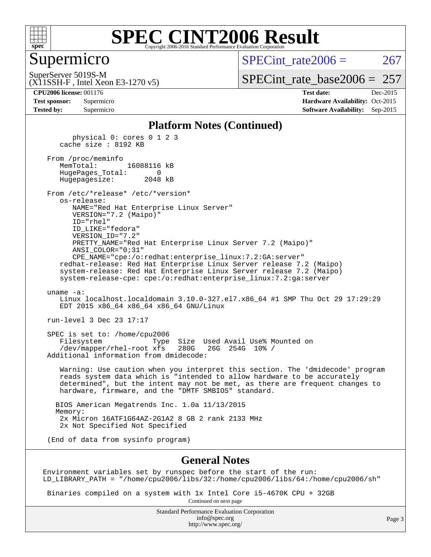

#### Supermicro

SPECint rate $2006 = 267$ 

(X11SSH-F , Intel Xeon E3-1270 v5) SuperServer 5019S-M

[SPECint\\_rate\\_base2006 =](http://www.spec.org/auto/cpu2006/Docs/result-fields.html#SPECintratebase2006)  $257$ 

**[CPU2006 license:](http://www.spec.org/auto/cpu2006/Docs/result-fields.html#CPU2006license)** 001176 **[Test date:](http://www.spec.org/auto/cpu2006/Docs/result-fields.html#Testdate)** Dec-2015 **[Test sponsor:](http://www.spec.org/auto/cpu2006/Docs/result-fields.html#Testsponsor)** Supermicro Supermicro **[Hardware Availability:](http://www.spec.org/auto/cpu2006/Docs/result-fields.html#HardwareAvailability)** Oct-2015 **[Tested by:](http://www.spec.org/auto/cpu2006/Docs/result-fields.html#Testedby)** Supermicro **Supermicro [Software Availability:](http://www.spec.org/auto/cpu2006/Docs/result-fields.html#SoftwareAvailability)** Sep-2015

#### **[Platform Notes \(Continued\)](http://www.spec.org/auto/cpu2006/Docs/result-fields.html#PlatformNotes)**

 physical 0: cores 0 1 2 3 cache size : 8192 KB From /proc/meminfo<br>MemTotal: 16088116 kB

 HugePages\_Total: 0 Hugepagesize: 2048 kB

 From /etc/\*release\* /etc/\*version\* os-release: NAME="Red Hat Enterprise Linux Server" VERSION="7.2 (Maipo)"

 ID="rhel" ID\_LIKE="fedora" VERSION\_ID="7.2" PRETTY\_NAME="Red Hat Enterprise Linux Server 7.2 (Maipo)" ANSI\_COLOR="0;31" CPE\_NAME="cpe:/o:redhat:enterprise\_linux:7.2:GA:server"

 redhat-release: Red Hat Enterprise Linux Server release 7.2 (Maipo) system-release: Red Hat Enterprise Linux Server release 7.2 (Maipo) system-release-cpe: cpe:/o:redhat:enterprise\_linux:7.2:ga:server

uname -a:

 Linux localhost.localdomain 3.10.0-327.el7.x86\_64 #1 SMP Thu Oct 29 17:29:29 EDT 2015 x86\_64 x86\_64 x86\_64 GNU/Linux

run-level 3 Dec 23 17:17

 SPEC is set to: /home/cpu2006 Filesystem Type Size Used Avail Use% Mounted on<br>/dev/mapper/rhel-root xfs 280G 26G 254G 10% / /dev/mapper/rhel-root xfs 280G Additional information from dmidecode:

 Warning: Use caution when you interpret this section. The 'dmidecode' program reads system data which is "intended to allow hardware to be accurately determined", but the intent may not be met, as there are frequent changes to hardware, firmware, and the "DMTF SMBIOS" standard.

 BIOS American Megatrends Inc. 1.0a 11/13/2015 Memory: 2x Micron 16ATF1G64AZ-2G1A2 8 GB 2 rank 2133 MHz 2x Not Specified Not Specified

(End of data from sysinfo program)

#### **[General Notes](http://www.spec.org/auto/cpu2006/Docs/result-fields.html#GeneralNotes)**

Environment variables set by runspec before the start of the run: LD\_LIBRARY\_PATH = "/home/cpu2006/libs/32:/home/cpu2006/libs/64:/home/cpu2006/sh"

 Binaries compiled on a system with 1x Intel Core i5-4670K CPU + 32GB Continued on next page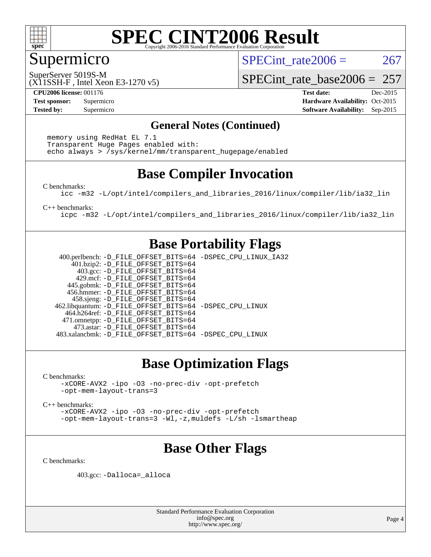

### Supermicro

SPECint rate $2006 = 267$ 

(X11SSH-F , Intel Xeon E3-1270 v5) SuperServer 5019S-M

[SPECint\\_rate\\_base2006 =](http://www.spec.org/auto/cpu2006/Docs/result-fields.html#SPECintratebase2006) 257

**[CPU2006 license:](http://www.spec.org/auto/cpu2006/Docs/result-fields.html#CPU2006license)** 001176 **[Test date:](http://www.spec.org/auto/cpu2006/Docs/result-fields.html#Testdate)** Dec-2015 **[Test sponsor:](http://www.spec.org/auto/cpu2006/Docs/result-fields.html#Testsponsor)** Supermicro Supermicro **[Hardware Availability:](http://www.spec.org/auto/cpu2006/Docs/result-fields.html#HardwareAvailability)** Oct-2015 **[Tested by:](http://www.spec.org/auto/cpu2006/Docs/result-fields.html#Testedby)** Supermicro **Supermicro [Software Availability:](http://www.spec.org/auto/cpu2006/Docs/result-fields.html#SoftwareAvailability)** Sep-2015

#### **[General Notes \(Continued\)](http://www.spec.org/auto/cpu2006/Docs/result-fields.html#GeneralNotes)**

 memory using RedHat EL 7.1 Transparent Huge Pages enabled with: echo always > /sys/kernel/mm/transparent\_hugepage/enabled

## **[Base Compiler Invocation](http://www.spec.org/auto/cpu2006/Docs/result-fields.html#BaseCompilerInvocation)**

[C benchmarks](http://www.spec.org/auto/cpu2006/Docs/result-fields.html#Cbenchmarks):

[icc -m32 -L/opt/intel/compilers\\_and\\_libraries\\_2016/linux/compiler/lib/ia32\\_lin](http://www.spec.org/cpu2006/results/res2016q1/cpu2006-20151225-38533.flags.html#user_CCbase_intel_icc_e10256ba5924b668798078a321b0cb3f)

[C++ benchmarks:](http://www.spec.org/auto/cpu2006/Docs/result-fields.html#CXXbenchmarks)

[icpc -m32 -L/opt/intel/compilers\\_and\\_libraries\\_2016/linux/compiler/lib/ia32\\_lin](http://www.spec.org/cpu2006/results/res2016q1/cpu2006-20151225-38533.flags.html#user_CXXbase_intel_icpc_b4f50a394bdb4597aa5879c16bc3f5c5)

### **[Base Portability Flags](http://www.spec.org/auto/cpu2006/Docs/result-fields.html#BasePortabilityFlags)**

 400.perlbench: [-D\\_FILE\\_OFFSET\\_BITS=64](http://www.spec.org/cpu2006/results/res2016q1/cpu2006-20151225-38533.flags.html#user_basePORTABILITY400_perlbench_file_offset_bits_64_438cf9856305ebd76870a2c6dc2689ab) [-DSPEC\\_CPU\\_LINUX\\_IA32](http://www.spec.org/cpu2006/results/res2016q1/cpu2006-20151225-38533.flags.html#b400.perlbench_baseCPORTABILITY_DSPEC_CPU_LINUX_IA32) 401.bzip2: [-D\\_FILE\\_OFFSET\\_BITS=64](http://www.spec.org/cpu2006/results/res2016q1/cpu2006-20151225-38533.flags.html#user_basePORTABILITY401_bzip2_file_offset_bits_64_438cf9856305ebd76870a2c6dc2689ab) 403.gcc: [-D\\_FILE\\_OFFSET\\_BITS=64](http://www.spec.org/cpu2006/results/res2016q1/cpu2006-20151225-38533.flags.html#user_basePORTABILITY403_gcc_file_offset_bits_64_438cf9856305ebd76870a2c6dc2689ab) 429.mcf: [-D\\_FILE\\_OFFSET\\_BITS=64](http://www.spec.org/cpu2006/results/res2016q1/cpu2006-20151225-38533.flags.html#user_basePORTABILITY429_mcf_file_offset_bits_64_438cf9856305ebd76870a2c6dc2689ab) 445.gobmk: [-D\\_FILE\\_OFFSET\\_BITS=64](http://www.spec.org/cpu2006/results/res2016q1/cpu2006-20151225-38533.flags.html#user_basePORTABILITY445_gobmk_file_offset_bits_64_438cf9856305ebd76870a2c6dc2689ab) 456.hmmer: [-D\\_FILE\\_OFFSET\\_BITS=64](http://www.spec.org/cpu2006/results/res2016q1/cpu2006-20151225-38533.flags.html#user_basePORTABILITY456_hmmer_file_offset_bits_64_438cf9856305ebd76870a2c6dc2689ab) 458.sjeng: [-D\\_FILE\\_OFFSET\\_BITS=64](http://www.spec.org/cpu2006/results/res2016q1/cpu2006-20151225-38533.flags.html#user_basePORTABILITY458_sjeng_file_offset_bits_64_438cf9856305ebd76870a2c6dc2689ab) 462.libquantum: [-D\\_FILE\\_OFFSET\\_BITS=64](http://www.spec.org/cpu2006/results/res2016q1/cpu2006-20151225-38533.flags.html#user_basePORTABILITY462_libquantum_file_offset_bits_64_438cf9856305ebd76870a2c6dc2689ab) [-DSPEC\\_CPU\\_LINUX](http://www.spec.org/cpu2006/results/res2016q1/cpu2006-20151225-38533.flags.html#b462.libquantum_baseCPORTABILITY_DSPEC_CPU_LINUX) 464.h264ref: [-D\\_FILE\\_OFFSET\\_BITS=64](http://www.spec.org/cpu2006/results/res2016q1/cpu2006-20151225-38533.flags.html#user_basePORTABILITY464_h264ref_file_offset_bits_64_438cf9856305ebd76870a2c6dc2689ab) 471.omnetpp: [-D\\_FILE\\_OFFSET\\_BITS=64](http://www.spec.org/cpu2006/results/res2016q1/cpu2006-20151225-38533.flags.html#user_basePORTABILITY471_omnetpp_file_offset_bits_64_438cf9856305ebd76870a2c6dc2689ab) 473.astar: [-D\\_FILE\\_OFFSET\\_BITS=64](http://www.spec.org/cpu2006/results/res2016q1/cpu2006-20151225-38533.flags.html#user_basePORTABILITY473_astar_file_offset_bits_64_438cf9856305ebd76870a2c6dc2689ab) 483.xalancbmk: [-D\\_FILE\\_OFFSET\\_BITS=64](http://www.spec.org/cpu2006/results/res2016q1/cpu2006-20151225-38533.flags.html#user_basePORTABILITY483_xalancbmk_file_offset_bits_64_438cf9856305ebd76870a2c6dc2689ab) [-DSPEC\\_CPU\\_LINUX](http://www.spec.org/cpu2006/results/res2016q1/cpu2006-20151225-38533.flags.html#b483.xalancbmk_baseCXXPORTABILITY_DSPEC_CPU_LINUX)

### **[Base Optimization Flags](http://www.spec.org/auto/cpu2006/Docs/result-fields.html#BaseOptimizationFlags)**

[C benchmarks](http://www.spec.org/auto/cpu2006/Docs/result-fields.html#Cbenchmarks):

[-xCORE-AVX2](http://www.spec.org/cpu2006/results/res2016q1/cpu2006-20151225-38533.flags.html#user_CCbase_f-xAVX2_5f5fc0cbe2c9f62c816d3e45806c70d7) [-ipo](http://www.spec.org/cpu2006/results/res2016q1/cpu2006-20151225-38533.flags.html#user_CCbase_f-ipo) [-O3](http://www.spec.org/cpu2006/results/res2016q1/cpu2006-20151225-38533.flags.html#user_CCbase_f-O3) [-no-prec-div](http://www.spec.org/cpu2006/results/res2016q1/cpu2006-20151225-38533.flags.html#user_CCbase_f-no-prec-div) [-opt-prefetch](http://www.spec.org/cpu2006/results/res2016q1/cpu2006-20151225-38533.flags.html#user_CCbase_f-opt-prefetch) [-opt-mem-layout-trans=3](http://www.spec.org/cpu2006/results/res2016q1/cpu2006-20151225-38533.flags.html#user_CCbase_f-opt-mem-layout-trans_a7b82ad4bd7abf52556d4961a2ae94d5)

[C++ benchmarks:](http://www.spec.org/auto/cpu2006/Docs/result-fields.html#CXXbenchmarks)

[-xCORE-AVX2](http://www.spec.org/cpu2006/results/res2016q1/cpu2006-20151225-38533.flags.html#user_CXXbase_f-xAVX2_5f5fc0cbe2c9f62c816d3e45806c70d7) [-ipo](http://www.spec.org/cpu2006/results/res2016q1/cpu2006-20151225-38533.flags.html#user_CXXbase_f-ipo) [-O3](http://www.spec.org/cpu2006/results/res2016q1/cpu2006-20151225-38533.flags.html#user_CXXbase_f-O3) [-no-prec-div](http://www.spec.org/cpu2006/results/res2016q1/cpu2006-20151225-38533.flags.html#user_CXXbase_f-no-prec-div) [-opt-prefetch](http://www.spec.org/cpu2006/results/res2016q1/cpu2006-20151225-38533.flags.html#user_CXXbase_f-opt-prefetch) [-opt-mem-layout-trans=3](http://www.spec.org/cpu2006/results/res2016q1/cpu2006-20151225-38533.flags.html#user_CXXbase_f-opt-mem-layout-trans_a7b82ad4bd7abf52556d4961a2ae94d5) [-Wl,-z,muldefs](http://www.spec.org/cpu2006/results/res2016q1/cpu2006-20151225-38533.flags.html#user_CXXbase_link_force_multiple1_74079c344b956b9658436fd1b6dd3a8a) [-L/sh -lsmartheap](http://www.spec.org/cpu2006/results/res2016q1/cpu2006-20151225-38533.flags.html#user_CXXbase_SmartHeap_32f6c82aa1ed9c52345d30cf6e4a0499)

### **[Base Other Flags](http://www.spec.org/auto/cpu2006/Docs/result-fields.html#BaseOtherFlags)**

[C benchmarks](http://www.spec.org/auto/cpu2006/Docs/result-fields.html#Cbenchmarks):

403.gcc: [-Dalloca=\\_alloca](http://www.spec.org/cpu2006/results/res2016q1/cpu2006-20151225-38533.flags.html#b403.gcc_baseEXTRA_CFLAGS_Dalloca_be3056838c12de2578596ca5467af7f3)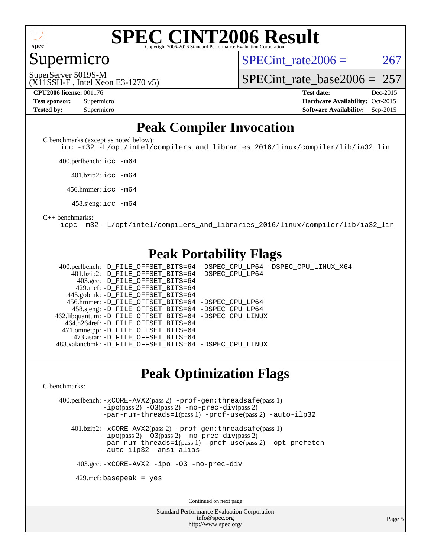

#### **[SPEC CINT2006 Result](http://www.spec.org/auto/cpu2006/Docs/result-fields.html#SPECCINT2006Result)** Copyright 2006-2016 Standard Performance Evaluation C

Supermicro

SPECint rate $2006 = 267$ 

(X11SSH-F , Intel Xeon E3-1270 v5) SuperServer 5019S-M

[SPECint\\_rate\\_base2006 =](http://www.spec.org/auto/cpu2006/Docs/result-fields.html#SPECintratebase2006)  $257$ 

**[CPU2006 license:](http://www.spec.org/auto/cpu2006/Docs/result-fields.html#CPU2006license)** 001176 **[Test date:](http://www.spec.org/auto/cpu2006/Docs/result-fields.html#Testdate)** Dec-2015 **[Test sponsor:](http://www.spec.org/auto/cpu2006/Docs/result-fields.html#Testsponsor)** Supermicro Supermicro **[Hardware Availability:](http://www.spec.org/auto/cpu2006/Docs/result-fields.html#HardwareAvailability)** Oct-2015 **[Tested by:](http://www.spec.org/auto/cpu2006/Docs/result-fields.html#Testedby)** Supermicro **Supermicro [Software Availability:](http://www.spec.org/auto/cpu2006/Docs/result-fields.html#SoftwareAvailability)** Sep-2015

#### **[Peak Compiler Invocation](http://www.spec.org/auto/cpu2006/Docs/result-fields.html#PeakCompilerInvocation)**

[C benchmarks \(except as noted below\)](http://www.spec.org/auto/cpu2006/Docs/result-fields.html#Cbenchmarksexceptasnotedbelow):

[icc -m32 -L/opt/intel/compilers\\_and\\_libraries\\_2016/linux/compiler/lib/ia32\\_lin](http://www.spec.org/cpu2006/results/res2016q1/cpu2006-20151225-38533.flags.html#user_CCpeak_intel_icc_e10256ba5924b668798078a321b0cb3f)

400.perlbench: [icc -m64](http://www.spec.org/cpu2006/results/res2016q1/cpu2006-20151225-38533.flags.html#user_peakCCLD400_perlbench_intel_icc_64bit_bda6cc9af1fdbb0edc3795bac97ada53)

401.bzip2: [icc -m64](http://www.spec.org/cpu2006/results/res2016q1/cpu2006-20151225-38533.flags.html#user_peakCCLD401_bzip2_intel_icc_64bit_bda6cc9af1fdbb0edc3795bac97ada53)

456.hmmer: [icc -m64](http://www.spec.org/cpu2006/results/res2016q1/cpu2006-20151225-38533.flags.html#user_peakCCLD456_hmmer_intel_icc_64bit_bda6cc9af1fdbb0edc3795bac97ada53)

458.sjeng: [icc -m64](http://www.spec.org/cpu2006/results/res2016q1/cpu2006-20151225-38533.flags.html#user_peakCCLD458_sjeng_intel_icc_64bit_bda6cc9af1fdbb0edc3795bac97ada53)

#### [C++ benchmarks:](http://www.spec.org/auto/cpu2006/Docs/result-fields.html#CXXbenchmarks)

[icpc -m32 -L/opt/intel/compilers\\_and\\_libraries\\_2016/linux/compiler/lib/ia32\\_lin](http://www.spec.org/cpu2006/results/res2016q1/cpu2006-20151225-38533.flags.html#user_CXXpeak_intel_icpc_b4f50a394bdb4597aa5879c16bc3f5c5)

#### **[Peak Portability Flags](http://www.spec.org/auto/cpu2006/Docs/result-fields.html#PeakPortabilityFlags)**

 400.perlbench: [-D\\_FILE\\_OFFSET\\_BITS=64](http://www.spec.org/cpu2006/results/res2016q1/cpu2006-20151225-38533.flags.html#user_peakPORTABILITY400_perlbench_file_offset_bits_64_438cf9856305ebd76870a2c6dc2689ab) [-DSPEC\\_CPU\\_LP64](http://www.spec.org/cpu2006/results/res2016q1/cpu2006-20151225-38533.flags.html#b400.perlbench_peakCPORTABILITY_DSPEC_CPU_LP64) [-DSPEC\\_CPU\\_LINUX\\_X64](http://www.spec.org/cpu2006/results/res2016q1/cpu2006-20151225-38533.flags.html#b400.perlbench_peakCPORTABILITY_DSPEC_CPU_LINUX_X64) 401.bzip2: [-D\\_FILE\\_OFFSET\\_BITS=64](http://www.spec.org/cpu2006/results/res2016q1/cpu2006-20151225-38533.flags.html#user_peakPORTABILITY401_bzip2_file_offset_bits_64_438cf9856305ebd76870a2c6dc2689ab) [-DSPEC\\_CPU\\_LP64](http://www.spec.org/cpu2006/results/res2016q1/cpu2006-20151225-38533.flags.html#suite_peakCPORTABILITY401_bzip2_DSPEC_CPU_LP64) 403.gcc: [-D\\_FILE\\_OFFSET\\_BITS=64](http://www.spec.org/cpu2006/results/res2016q1/cpu2006-20151225-38533.flags.html#user_peakPORTABILITY403_gcc_file_offset_bits_64_438cf9856305ebd76870a2c6dc2689ab) 429.mcf: [-D\\_FILE\\_OFFSET\\_BITS=64](http://www.spec.org/cpu2006/results/res2016q1/cpu2006-20151225-38533.flags.html#user_peakPORTABILITY429_mcf_file_offset_bits_64_438cf9856305ebd76870a2c6dc2689ab) 445.gobmk: [-D\\_FILE\\_OFFSET\\_BITS=64](http://www.spec.org/cpu2006/results/res2016q1/cpu2006-20151225-38533.flags.html#user_peakPORTABILITY445_gobmk_file_offset_bits_64_438cf9856305ebd76870a2c6dc2689ab) 456.hmmer: [-D\\_FILE\\_OFFSET\\_BITS=64](http://www.spec.org/cpu2006/results/res2016q1/cpu2006-20151225-38533.flags.html#user_peakPORTABILITY456_hmmer_file_offset_bits_64_438cf9856305ebd76870a2c6dc2689ab) [-DSPEC\\_CPU\\_LP64](http://www.spec.org/cpu2006/results/res2016q1/cpu2006-20151225-38533.flags.html#suite_peakCPORTABILITY456_hmmer_DSPEC_CPU_LP64) 458.sjeng: [-D\\_FILE\\_OFFSET\\_BITS=64](http://www.spec.org/cpu2006/results/res2016q1/cpu2006-20151225-38533.flags.html#user_peakPORTABILITY458_sjeng_file_offset_bits_64_438cf9856305ebd76870a2c6dc2689ab) [-DSPEC\\_CPU\\_LP64](http://www.spec.org/cpu2006/results/res2016q1/cpu2006-20151225-38533.flags.html#suite_peakCPORTABILITY458_sjeng_DSPEC_CPU_LP64) 462.libquantum: [-D\\_FILE\\_OFFSET\\_BITS=64](http://www.spec.org/cpu2006/results/res2016q1/cpu2006-20151225-38533.flags.html#user_peakPORTABILITY462_libquantum_file_offset_bits_64_438cf9856305ebd76870a2c6dc2689ab) [-DSPEC\\_CPU\\_LINUX](http://www.spec.org/cpu2006/results/res2016q1/cpu2006-20151225-38533.flags.html#b462.libquantum_peakCPORTABILITY_DSPEC_CPU_LINUX) 464.h264ref: [-D\\_FILE\\_OFFSET\\_BITS=64](http://www.spec.org/cpu2006/results/res2016q1/cpu2006-20151225-38533.flags.html#user_peakPORTABILITY464_h264ref_file_offset_bits_64_438cf9856305ebd76870a2c6dc2689ab) 471.omnetpp: [-D\\_FILE\\_OFFSET\\_BITS=64](http://www.spec.org/cpu2006/results/res2016q1/cpu2006-20151225-38533.flags.html#user_peakPORTABILITY471_omnetpp_file_offset_bits_64_438cf9856305ebd76870a2c6dc2689ab) 473.astar: [-D\\_FILE\\_OFFSET\\_BITS=64](http://www.spec.org/cpu2006/results/res2016q1/cpu2006-20151225-38533.flags.html#user_peakPORTABILITY473_astar_file_offset_bits_64_438cf9856305ebd76870a2c6dc2689ab) 483.xalancbmk: [-D\\_FILE\\_OFFSET\\_BITS=64](http://www.spec.org/cpu2006/results/res2016q1/cpu2006-20151225-38533.flags.html#user_peakPORTABILITY483_xalancbmk_file_offset_bits_64_438cf9856305ebd76870a2c6dc2689ab) [-DSPEC\\_CPU\\_LINUX](http://www.spec.org/cpu2006/results/res2016q1/cpu2006-20151225-38533.flags.html#b483.xalancbmk_peakCXXPORTABILITY_DSPEC_CPU_LINUX)

#### **[Peak Optimization Flags](http://www.spec.org/auto/cpu2006/Docs/result-fields.html#PeakOptimizationFlags)**

[C benchmarks](http://www.spec.org/auto/cpu2006/Docs/result-fields.html#Cbenchmarks):

 400.perlbench: [-xCORE-AVX2](http://www.spec.org/cpu2006/results/res2016q1/cpu2006-20151225-38533.flags.html#user_peakPASS2_CFLAGSPASS2_LDCFLAGS400_perlbench_f-xAVX2_5f5fc0cbe2c9f62c816d3e45806c70d7)(pass 2) [-prof-gen:threadsafe](http://www.spec.org/cpu2006/results/res2016q1/cpu2006-20151225-38533.flags.html#user_peakPASS1_CFLAGSPASS1_LDCFLAGS400_perlbench_prof_gen_21a26eb79f378b550acd7bec9fe4467a)(pass 1) [-ipo](http://www.spec.org/cpu2006/results/res2016q1/cpu2006-20151225-38533.flags.html#user_peakPASS2_CFLAGSPASS2_LDCFLAGS400_perlbench_f-ipo)(pass 2) [-O3](http://www.spec.org/cpu2006/results/res2016q1/cpu2006-20151225-38533.flags.html#user_peakPASS2_CFLAGSPASS2_LDCFLAGS400_perlbench_f-O3)(pass 2) [-no-prec-div](http://www.spec.org/cpu2006/results/res2016q1/cpu2006-20151225-38533.flags.html#user_peakPASS2_CFLAGSPASS2_LDCFLAGS400_perlbench_f-no-prec-div)(pass 2) [-par-num-threads=1](http://www.spec.org/cpu2006/results/res2016q1/cpu2006-20151225-38533.flags.html#user_peakPASS1_CFLAGSPASS1_LDCFLAGS400_perlbench_par_num_threads_786a6ff141b4e9e90432e998842df6c2)(pass 1) [-prof-use](http://www.spec.org/cpu2006/results/res2016q1/cpu2006-20151225-38533.flags.html#user_peakPASS2_CFLAGSPASS2_LDCFLAGS400_perlbench_prof_use_bccf7792157ff70d64e32fe3e1250b55)(pass 2) [-auto-ilp32](http://www.spec.org/cpu2006/results/res2016q1/cpu2006-20151225-38533.flags.html#user_peakCOPTIMIZE400_perlbench_f-auto-ilp32)

 401.bzip2: [-xCORE-AVX2](http://www.spec.org/cpu2006/results/res2016q1/cpu2006-20151225-38533.flags.html#user_peakPASS2_CFLAGSPASS2_LDCFLAGS401_bzip2_f-xAVX2_5f5fc0cbe2c9f62c816d3e45806c70d7)(pass 2) [-prof-gen:threadsafe](http://www.spec.org/cpu2006/results/res2016q1/cpu2006-20151225-38533.flags.html#user_peakPASS1_CFLAGSPASS1_LDCFLAGS401_bzip2_prof_gen_21a26eb79f378b550acd7bec9fe4467a)(pass 1)  $-i\text{po}(pass 2) -O3(pass 2)$  $-i\text{po}(pass 2) -O3(pass 2)$  $-i\text{po}(pass 2) -O3(pass 2)$  [-no-prec-div](http://www.spec.org/cpu2006/results/res2016q1/cpu2006-20151225-38533.flags.html#user_peakPASS2_CFLAGSPASS2_LDCFLAGS401_bzip2_f-no-prec-div)(pass 2) [-par-num-threads=1](http://www.spec.org/cpu2006/results/res2016q1/cpu2006-20151225-38533.flags.html#user_peakPASS1_CFLAGSPASS1_LDCFLAGS401_bzip2_par_num_threads_786a6ff141b4e9e90432e998842df6c2)(pass 1) [-prof-use](http://www.spec.org/cpu2006/results/res2016q1/cpu2006-20151225-38533.flags.html#user_peakPASS2_CFLAGSPASS2_LDCFLAGS401_bzip2_prof_use_bccf7792157ff70d64e32fe3e1250b55)(pass 2) [-opt-prefetch](http://www.spec.org/cpu2006/results/res2016q1/cpu2006-20151225-38533.flags.html#user_peakCOPTIMIZE401_bzip2_f-opt-prefetch) [-auto-ilp32](http://www.spec.org/cpu2006/results/res2016q1/cpu2006-20151225-38533.flags.html#user_peakCOPTIMIZE401_bzip2_f-auto-ilp32) [-ansi-alias](http://www.spec.org/cpu2006/results/res2016q1/cpu2006-20151225-38533.flags.html#user_peakCOPTIMIZE401_bzip2_f-ansi-alias)

403.gcc: [-xCORE-AVX2](http://www.spec.org/cpu2006/results/res2016q1/cpu2006-20151225-38533.flags.html#user_peakCOPTIMIZE403_gcc_f-xAVX2_5f5fc0cbe2c9f62c816d3e45806c70d7) [-ipo](http://www.spec.org/cpu2006/results/res2016q1/cpu2006-20151225-38533.flags.html#user_peakCOPTIMIZE403_gcc_f-ipo) [-O3](http://www.spec.org/cpu2006/results/res2016q1/cpu2006-20151225-38533.flags.html#user_peakCOPTIMIZE403_gcc_f-O3) [-no-prec-div](http://www.spec.org/cpu2006/results/res2016q1/cpu2006-20151225-38533.flags.html#user_peakCOPTIMIZE403_gcc_f-no-prec-div)

 $429$ .mcf: basepeak = yes

Continued on next page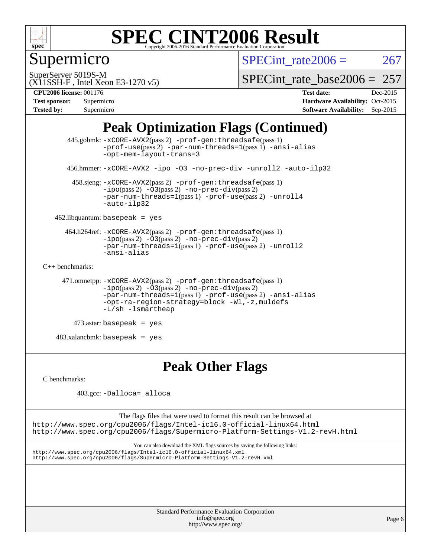

## Supermicro

SPECint rate $2006 = 267$ 

(X11SSH-F , Intel Xeon E3-1270 v5) SuperServer 5019S-M

[SPECint\\_rate\\_base2006 =](http://www.spec.org/auto/cpu2006/Docs/result-fields.html#SPECintratebase2006)  $257$ 

**[CPU2006 license:](http://www.spec.org/auto/cpu2006/Docs/result-fields.html#CPU2006license)** 001176 **[Test date:](http://www.spec.org/auto/cpu2006/Docs/result-fields.html#Testdate)** Dec-2015

| <b>Test sponsor:</b> | Supermicro |
|----------------------|------------|
| <b>Tested by:</b>    | Supermicro |

**[Hardware Availability:](http://www.spec.org/auto/cpu2006/Docs/result-fields.html#HardwareAvailability)** Oct-2015 **[Software Availability:](http://www.spec.org/auto/cpu2006/Docs/result-fields.html#SoftwareAvailability)** Sep-2015

### **[Peak Optimization Flags \(Continued\)](http://www.spec.org/auto/cpu2006/Docs/result-fields.html#PeakOptimizationFlags)**

```
 445.gobmk: -xCORE-AVX2(pass 2) -prof-gen:threadsafe(pass 1)
                -prof-use(pass 2) -par-num-threads=1(pass 1) -ansi-alias
                -opt-mem-layout-trans=3
       456.hmmer: -xCORE-AVX2 -ipo -O3 -no-prec-div -unroll2 -auto-ilp32
        458.sjeng: -xCORE-AVX2(pass 2) -prof-gen:threadsafe(pass 1)
                -i\text{po}(pass 2) -\overline{O}3(pass 2)-no-prec-div(pass 2)
                -par-num-threads=1-prof-use-unroll4
                -auto-ilp32
    462.libquantum: basepeak = yes
      464.h264ref: -xCORE-AVX2(pass 2) -prof-gen:threadsafe(pass 1)
                -ipo(pass 2) -O3(pass 2) -no-prec-div(pass 2)
               -par-num-threads=1(pass 1) -prof-use(pass 2) -unroll2
                -ansi-alias
C++ benchmarks: 
      471.omnetpp: -xCORE-AVX2(pass 2) -prof-gen:threadsafe(pass 1)
               -no-prec-div(pass 2)-par-num-threads=1(pass 1) -prof-use(pass 2) -ansi-alias
                -opt-ra-region-strategy=block -Wl,-z,muldefs
                -L/sh -lsmartheap
         473.astar: basepeak = yes
    483.xalancbmk: basepeak = yes
```
## **[Peak Other Flags](http://www.spec.org/auto/cpu2006/Docs/result-fields.html#PeakOtherFlags)**

[C benchmarks](http://www.spec.org/auto/cpu2006/Docs/result-fields.html#Cbenchmarks):

403.gcc: [-Dalloca=\\_alloca](http://www.spec.org/cpu2006/results/res2016q1/cpu2006-20151225-38533.flags.html#b403.gcc_peakEXTRA_CFLAGS_Dalloca_be3056838c12de2578596ca5467af7f3)

The flags files that were used to format this result can be browsed at <http://www.spec.org/cpu2006/flags/Intel-ic16.0-official-linux64.html> <http://www.spec.org/cpu2006/flags/Supermicro-Platform-Settings-V1.2-revH.html>

You can also download the XML flags sources by saving the following links: <http://www.spec.org/cpu2006/flags/Intel-ic16.0-official-linux64.xml> <http://www.spec.org/cpu2006/flags/Supermicro-Platform-Settings-V1.2-revH.xml>